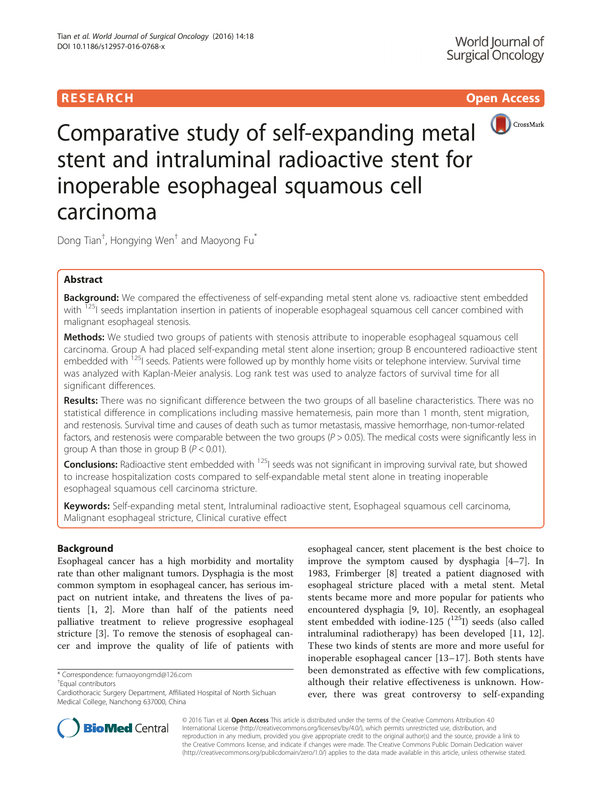# RESEARCH **RESEARCH CHOOSE ACCESS**



Comparative study of self-expanding metal stent and intraluminal radioactive stent for inoperable esophageal squamous cell carcinoma

Dong Tian $^\dagger$ , Hongying Wen $^\dagger$  and Maoyong Fu $^*$ 

# Abstract

Background: We compared the effectiveness of self-expanding metal stent alone vs. radioactive stent embedded with <sup>125</sup>I seeds implantation insertion in patients of inoperable esophageal squamous cell cancer combined with malignant esophageal stenosis.

Methods: We studied two groups of patients with stenosis attribute to inoperable esophageal squamous cell carcinoma. Group A had placed self-expanding metal stent alone insertion; group B encountered radioactive stent embedded with <sup>125</sup>I seeds. Patients were followed up by monthly home visits or telephone interview. Survival time was analyzed with Kaplan-Meier analysis. Log rank test was used to analyze factors of survival time for all significant differences.

Results: There was no significant difference between the two groups of all baseline characteristics. There was no statistical difference in complications including massive hematemesis, pain more than 1 month, stent migration, and restenosis. Survival time and causes of death such as tumor metastasis, massive hemorrhage, non-tumor-related factors, and restenosis were comparable between the two groups  $(P > 0.05)$ . The medical costs were significantly less in group A than those in group B ( $P < 0.01$ ).

**Conclusions:** Radioactive stent embedded with <sup>125</sup>I seeds was not significant in improving survival rate, but showed to increase hospitalization costs compared to self-expandable metal stent alone in treating inoperable esophageal squamous cell carcinoma stricture.

Keywords: Self-expanding metal stent, Intraluminal radioactive stent, Esophageal squamous cell carcinoma, Malignant esophageal stricture, Clinical curative effect

# Background

Esophageal cancer has a high morbidity and mortality rate than other malignant tumors. Dysphagia is the most common symptom in esophageal cancer, has serious impact on nutrient intake, and threatens the lives of patients [\[1](#page-6-0), [2](#page-6-0)]. More than half of the patients need palliative treatment to relieve progressive esophageal stricture [[3\]](#page-6-0). To remove the stenosis of esophageal cancer and improve the quality of life of patients with

<sup>+</sup>Fqual contributors

esophageal cancer, stent placement is the best choice to improve the symptom caused by dysphagia [\[4](#page-6-0)–[7\]](#page-6-0). In 1983, Frimberger [\[8](#page-6-0)] treated a patient diagnosed with esophageal stricture placed with a metal stent. Metal stents became more and more popular for patients who encountered dysphagia [[9, 10\]](#page-6-0). Recently, an esophageal stent embedded with iodine-125  $(^{125}I)$  seeds (also called intraluminal radiotherapy) has been developed [\[11](#page-6-0), [12](#page-6-0)]. These two kinds of stents are more and more useful for inoperable esophageal cancer [[13](#page-6-0)–[17](#page-6-0)]. Both stents have been demonstrated as effective with few complications, although their relative effectiveness is unknown. However, there was great controversy to self-expanding



© 2016 Tian et al. Open Access This article is distributed under the terms of the Creative Commons Attribution 4.0 International License [\(http://creativecommons.org/licenses/by/4.0/](http://creativecommons.org/licenses/by/4.0/)), which permits unrestricted use, distribution, and reproduction in any medium, provided you give appropriate credit to the original author(s) and the source, provide a link to the Creative Commons license, and indicate if changes were made. The Creative Commons Public Domain Dedication waiver [\(http://creativecommons.org/publicdomain/zero/1.0/](http://creativecommons.org/publicdomain/zero/1.0/)) applies to the data made available in this article, unless otherwise stated.

<sup>\*</sup> Correspondence: [fumaoyongmd@126.com](mailto:fumaoyongmd@126.com) †

Cardiothoracic Surgery Department, Affiliated Hospital of North Sichuan Medical College, Nanchong 637000, China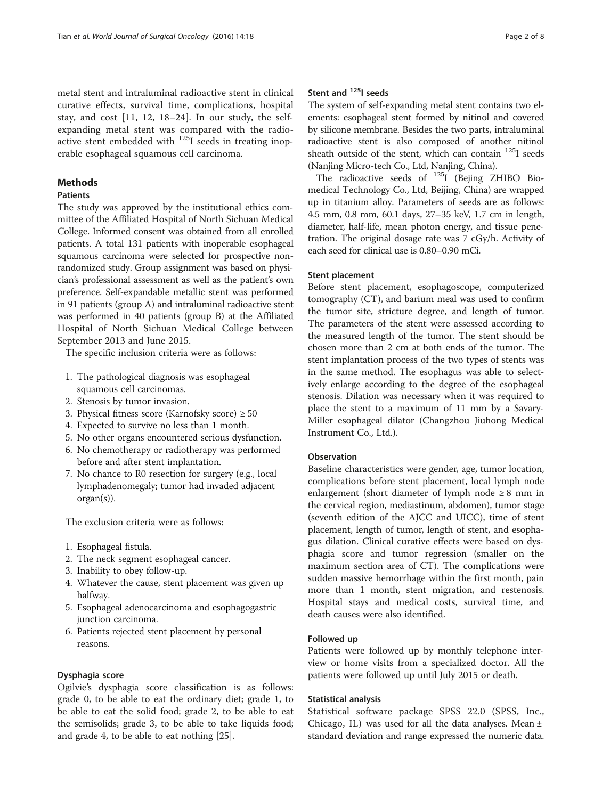metal stent and intraluminal radioactive stent in clinical curative effects, survival time, complications, hospital stay, and cost [\[11](#page-6-0), [12, 18](#page-6-0)–[24\]](#page-7-0). In our study, the selfexpanding metal stent was compared with the radioactive stent embedded with  $125$ I seeds in treating inoperable esophageal squamous cell carcinoma.

# Methods

# **Patients**

The study was approved by the institutional ethics committee of the Affiliated Hospital of North Sichuan Medical College. Informed consent was obtained from all enrolled patients. A total 131 patients with inoperable esophageal squamous carcinoma were selected for prospective nonrandomized study. Group assignment was based on physician's professional assessment as well as the patient's own preference. Self-expandable metallic stent was performed in 91 patients (group A) and intraluminal radioactive stent was performed in 40 patients (group B) at the Affiliated Hospital of North Sichuan Medical College between September 2013 and June 2015.

The specific inclusion criteria were as follows:

- 1. The pathological diagnosis was esophageal squamous cell carcinomas.
- 2. Stenosis by tumor invasion.
- 3. Physical fitness score (Karnofsky score)  $\geq 50$
- 4. Expected to survive no less than 1 month.
- 5. No other organs encountered serious dysfunction.
- 6. No chemotherapy or radiotherapy was performed before and after stent implantation.
- 7. No chance to R0 resection for surgery (e.g., local lymphadenomegaly; tumor had invaded adjacent organ(s)).

The exclusion criteria were as follows:

- 1. Esophageal fistula.
- 2. The neck segment esophageal cancer.
- 3. Inability to obey follow-up.
- 4. Whatever the cause, stent placement was given up halfway.
- 5. Esophageal adenocarcinoma and esophagogastric junction carcinoma.
- 6. Patients rejected stent placement by personal reasons.

## Dysphagia score

Ogilvie's dysphagia score classification is as follows: grade 0, to be able to eat the ordinary diet; grade 1, to be able to eat the solid food; grade 2, to be able to eat the semisolids; grade 3, to be able to take liquids food; and grade 4, to be able to eat nothing [\[25\]](#page-7-0).

## Stent and  $125$  seeds

The system of self-expanding metal stent contains two elements: esophageal stent formed by nitinol and covered by silicone membrane. Besides the two parts, intraluminal radioactive stent is also composed of another nitinol sheath outside of the stent, which can contain <sup>125</sup>I seeds (Nanjing Micro-tech Co., Ltd, Nanjing, China).

The radioactive seeds of  $^{125}I$  (Bejing ZHIBO Biomedical Technology Co., Ltd, Beijing, China) are wrapped up in titanium alloy. Parameters of seeds are as follows: 4.5 mm, 0.8 mm, 60.1 days, 27–35 keV, 1.7 cm in length, diameter, half-life, mean photon energy, and tissue penetration. The original dosage rate was 7 cGy/h. Activity of each seed for clinical use is 0.80–0.90 mCi.

## Stent placement

Before stent placement, esophagoscope, computerized tomography (CT), and barium meal was used to confirm the tumor site, stricture degree, and length of tumor. The parameters of the stent were assessed according to the measured length of the tumor. The stent should be chosen more than 2 cm at both ends of the tumor. The stent implantation process of the two types of stents was in the same method. The esophagus was able to selectively enlarge according to the degree of the esophageal stenosis. Dilation was necessary when it was required to place the stent to a maximum of 11 mm by a Savary-Miller esophageal dilator (Changzhou Jiuhong Medical Instrument Co., Ltd.).

# **Observation**

Baseline characteristics were gender, age, tumor location, complications before stent placement, local lymph node enlargement (short diameter of lymph node  $\geq 8$  mm in the cervical region, mediastinum, abdomen), tumor stage (seventh edition of the AJCC and UICC), time of stent placement, length of tumor, length of stent, and esophagus dilation. Clinical curative effects were based on dysphagia score and tumor regression (smaller on the maximum section area of CT). The complications were sudden massive hemorrhage within the first month, pain more than 1 month, stent migration, and restenosis. Hospital stays and medical costs, survival time, and death causes were also identified.

## Followed up

Patients were followed up by monthly telephone interview or home visits from a specialized doctor. All the patients were followed up until July 2015 or death.

#### Statistical analysis

Statistical software package SPSS 22.0 (SPSS, Inc., Chicago, IL) was used for all the data analyses. Mean  $\pm$ standard deviation and range expressed the numeric data.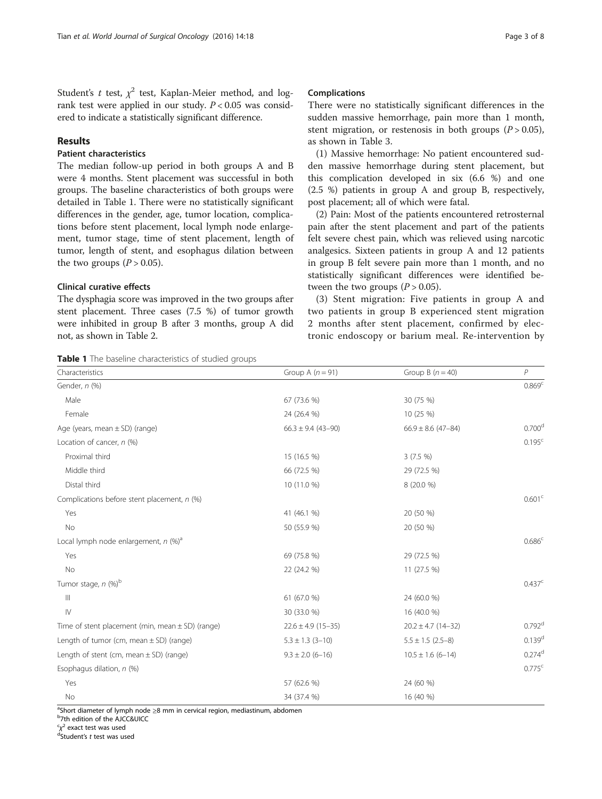Student's t test,  $\chi^2$  test, Kaplan-Meier method, and logrank test were applied in our study.  $P < 0.05$  was considered to indicate a statistically significant difference.

## Results

# Patient characteristics

The median follow-up period in both groups A and B were 4 months. Stent placement was successful in both groups. The baseline characteristics of both groups were detailed in Table 1. There were no statistically significant differences in the gender, age, tumor location, complications before stent placement, local lymph node enlargement, tumor stage, time of stent placement, length of tumor, length of stent, and esophagus dilation between the two groups  $(P > 0.05)$ .

## Clinical curative effects

The dysphagia score was improved in the two groups after stent placement. Three cases (7.5 %) of tumor growth were inhibited in group B after 3 months, group A did not, as shown in Table [2](#page-3-0).

Table 1 The baseline characteristics of studied groups

#### Complications

There were no statistically significant differences in the sudden massive hemorrhage, pain more than 1 month, stent migration, or restenosis in both groups  $(P > 0.05)$ , as shown in Table [3](#page-3-0).

(1) Massive hemorrhage: No patient encountered sudden massive hemorrhage during stent placement, but this complication developed in six (6.6 %) and one (2.5 %) patients in group A and group B, respectively, post placement; all of which were fatal.

(2) Pain: Most of the patients encountered retrosternal pain after the stent placement and part of the patients felt severe chest pain, which was relieved using narcotic analgesics. Sixteen patients in group A and 12 patients in group B felt severe pain more than 1 month, and no statistically significant differences were identified between the two groups  $(P > 0.05)$ .

(3) Stent migration: Five patients in group A and two patients in group B experienced stent migration 2 months after stent placement, confirmed by electronic endoscopy or barium meal. Re-intervention by

| Characteristics                                      | Group A $(n = 91)$       | Group B $(n = 40)$     | P                    |
|------------------------------------------------------|--------------------------|------------------------|----------------------|
| Gender, n (%)                                        |                          |                        | 0.869 <sup>c</sup>   |
| Male                                                 | 67 (73.6 %)              | 30 (75 %)              |                      |
| Female                                               | 24 (26.4 %)              | 10 (25 %)              |                      |
| Age (years, mean $\pm$ SD) (range)                   | $66.3 \pm 9.4 (43 - 90)$ | $66.9 \pm 8.6$ (47-84) | 0.700 <sup>d</sup>   |
| Location of cancer, $n$ (%)                          |                          |                        | 0.195 <sup>c</sup>   |
| Proximal third                                       | 15 (16.5 %)              | $3(7.5\%)$             |                      |
| Middle third                                         | 66 (72.5 %)              | 29 (72.5 %)            |                      |
| Distal third                                         | 10 (11.0 %)              | 8 (20.0 %)             |                      |
| Complications before stent placement, n (%)          |                          |                        | 0.601 <sup>c</sup>   |
| Yes                                                  | 41 (46.1 %)              | 20 (50 %)              |                      |
| No                                                   | 50 (55.9 %)              | 20 (50 %)              |                      |
| Local lymph node enlargement, $n$ (%) <sup>a</sup>   |                          |                        | 0.686 <sup>c</sup>   |
| Yes                                                  | 69 (75.8 %)              | 29 (72.5 %)            |                      |
| No                                                   | 22 (24.2 %)              | 11 (27.5 %)            |                      |
| Tumor stage, n (%) <sup>b</sup>                      |                          |                        | 0.437 <sup>c</sup>   |
| Ш                                                    | 61 (67.0 %)              | 24 (60.0 %)            |                      |
| $\mathsf{IV}$                                        | 30 (33.0 %)              | 16 (40.0 %)            |                      |
| Time of stent placement (min, mean $\pm$ SD) (range) | $22.6 \pm 4.9$ (15-35)   | $20.2 \pm 4.7$ (14-32) | $0.792$ <sup>d</sup> |
| Length of tumor (cm, mean $\pm$ SD) (range)          | $5.3 \pm 1.3$ (3-10)     | $5.5 \pm 1.5$ (2.5-8)  | $0.139^{d}$          |
| Length of stent (cm, mean $\pm$ SD) (range)          | $9.3 \pm 2.0$ (6-16)     | $10.5 \pm 1.6$ (6-14)  | $0.274$ <sup>d</sup> |
| Esophagus dilation, n (%)                            |                          |                        | 0.775c               |
| Yes                                                  | 57 (62.6 %)              | 24 (60 %)              |                      |
| No                                                   | 34 (37.4 %)              | 16 (40 %)              |                      |

<sup>a</sup>Short diameter of lymph node ≥8 mm in cervical region, mediastinum, abdomen<br><sup>b</sup>7th edition of the AICC8JIICC

7th edition of the AJCC&UICC

<sup>c</sup>χ<sup>2</sup> exact test was used<br><sup>d</sup>Student's t test was us

dStudent's t test was used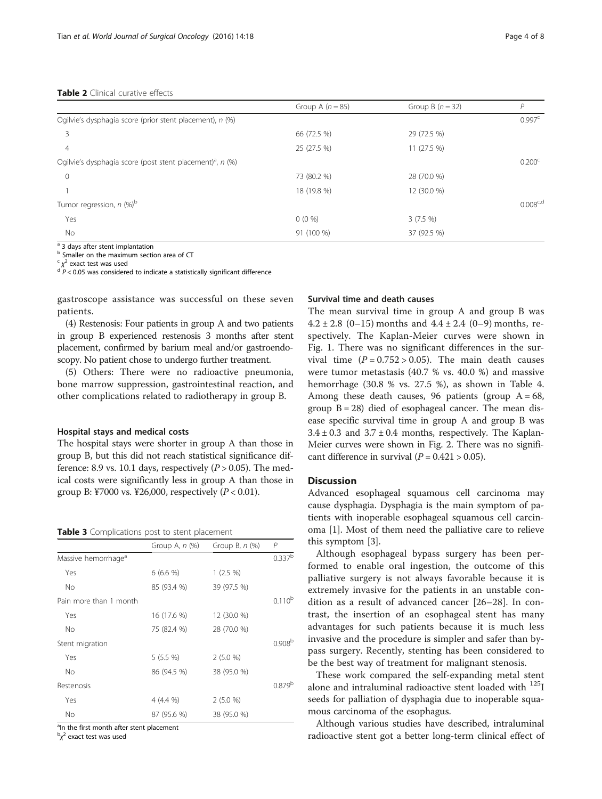#### <span id="page-3-0"></span>Table 2 Clinical curative effects

|                                                                       | Group A $(n = 85)$ | Group B $(n = 32)$ | Р                  |
|-----------------------------------------------------------------------|--------------------|--------------------|--------------------|
| Ogilvie's dysphagia score (prior stent placement), n (%)              |                    |                    | 0.997 <sup>c</sup> |
| 3                                                                     | 66 (72.5 %)        | 29 (72.5 %)        |                    |
| 4                                                                     | 25 (27.5 %)        | 11 (27.5 %)        |                    |
| Ogilvie's dysphagia score (post stent placement) <sup>a</sup> , n (%) |                    |                    | 0.200 <sup>c</sup> |
| $\overline{0}$                                                        | 73 (80.2 %)        | 28 (70.0 %)        |                    |
|                                                                       | 18 (19.8 %)        | 12 (30.0 %)        |                    |
| Tumor regression, $n$ (%) <sup>b</sup>                                |                    |                    | $0.008^{c,d}$      |
| Yes                                                                   | $0(0\%)$           | $3(7.5\%)$         |                    |
| No                                                                    | 91 (100 %)         | 37 (92.5 %)        |                    |

<sup>a</sup> 3 days after stent implantation

b Smaller on the maximum section area of CT

 $\chi^2$  exact test was used

 $\alpha^2$  exact test considered to indicate a statistically significant difference

gastroscope assistance was successful on these seven patients.

(4) Restenosis: Four patients in group A and two patients in group B experienced restenosis 3 months after stent placement, confirmed by barium meal and/or gastroendoscopy. No patient chose to undergo further treatment.

(5) Others: There were no radioactive pneumonia, bone marrow suppression, gastrointestinal reaction, and other complications related to radiotherapy in group B.

#### Hospital stays and medical costs

The hospital stays were shorter in group A than those in group B, but this did not reach statistical significance difference: 8.9 vs. 10.1 days, respectively  $(P > 0.05)$ . The medical costs were significantly less in group A than those in group B: ¥7000 vs. ¥26,000, respectively  $(P < 0.01)$ .

|  | <b>Table 3</b> Complications post to stent placement |  |  |
|--|------------------------------------------------------|--|--|
|--|------------------------------------------------------|--|--|

|                                 | Group A, $n$ (%) | Group B, $n$ $(\%)$ | $\overline{P}$     |
|---------------------------------|------------------|---------------------|--------------------|
| Massive hemorrhage <sup>a</sup> |                  |                     | $0.337^{b}$        |
| Yes                             | $6(6.6\%)$       | $1(2.5\%)$          |                    |
| No                              | 85 (93.4 %)      | 39 (97.5 %)         |                    |
| Pain more than 1 month          |                  |                     | $0.110^{b}$        |
| Yes                             | 16 (17.6 %)      | 12 (30.0 %)         |                    |
| <b>No</b>                       | 75 (82.4 %)      | 28 (70.0 %)         |                    |
| Stent migration                 |                  |                     | 0.908 <sup>b</sup> |
| Yes                             | $5(5.5\%)$       | 2(5.0 %)            |                    |
| <b>No</b>                       | 86 (94.5 %)      | 38 (95.0 %)         |                    |
| Restenosis                      |                  |                     | 0.879 <sup>b</sup> |
| Yes                             | 4 (4.4 %)        | 2(5.0%              |                    |
| <b>No</b>                       | 87 (95.6 %)      | 38 (95.0 %)         |                    |

<sup>a</sup>In the first month after stent placement

 $\frac{b}{\chi^2}$  exact test was used

## Survival time and death causes

The mean survival time in group A and group B was  $4.2 \pm 2.8$  (0-15) months and  $4.4 \pm 2.4$  (0-9) months, respectively. The Kaplan-Meier curves were shown in Fig. [1.](#page-4-0) There was no significant differences in the survival time  $(P = 0.752 > 0.05)$ . The main death causes were tumor metastasis (40.7 % vs. 40.0 %) and massive hemorrhage (30.8 % vs. 27.5 %), as shown in Table [4](#page-4-0). Among these death causes, 96 patients (group  $A = 68$ , group  $B = 28$ ) died of esophageal cancer. The mean disease specific survival time in group A and group B was  $3.4 \pm 0.3$  and  $3.7 \pm 0.4$  months, respectively. The Kaplan-Meier curves were shown in Fig. [2](#page-5-0). There was no significant difference in survival  $(P = 0.421 > 0.05)$ .

# **Discussion**

Advanced esophageal squamous cell carcinoma may cause dysphagia. Dysphagia is the main symptom of patients with inoperable esophageal squamous cell carcinoma [[1\]](#page-6-0). Most of them need the palliative care to relieve this symptom [[3\]](#page-6-0).

Although esophageal bypass surgery has been performed to enable oral ingestion, the outcome of this palliative surgery is not always favorable because it is extremely invasive for the patients in an unstable condition as a result of advanced cancer [\[26](#page-7-0)–[28](#page-7-0)]. In contrast, the insertion of an esophageal stent has many advantages for such patients because it is much less invasive and the procedure is simpler and safer than bypass surgery. Recently, stenting has been considered to be the best way of treatment for malignant stenosis.

These work compared the self-expanding metal stent alone and intraluminal radioactive stent loaded with 125I seeds for palliation of dysphagia due to inoperable squamous carcinoma of the esophagus.

Although various studies have described, intraluminal radioactive stent got a better long-term clinical effect of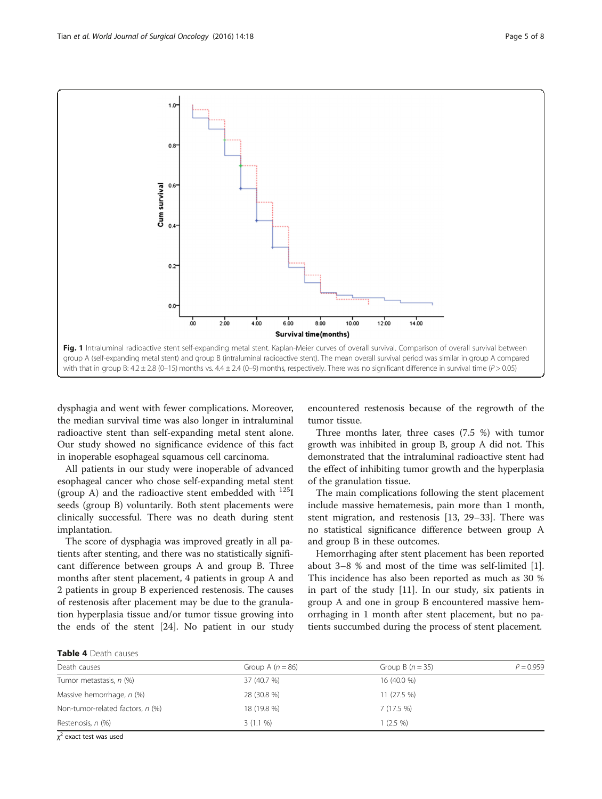<span id="page-4-0"></span>

dysphagia and went with fewer complications. Moreover, the median survival time was also longer in intraluminal radioactive stent than self-expanding metal stent alone. Our study showed no significance evidence of this fact in inoperable esophageal squamous cell carcinoma.

All patients in our study were inoperable of advanced esophageal cancer who chose self-expanding metal stent (group A) and the radioactive stent embedded with  $^{125}I$ seeds (group B) voluntarily. Both stent placements were clinically successful. There was no death during stent implantation.

The score of dysphagia was improved greatly in all patients after stenting, and there was no statistically significant difference between groups A and group B. Three months after stent placement, 4 patients in group A and 2 patients in group B experienced restenosis. The causes of restenosis after placement may be due to the granulation hyperplasia tissue and/or tumor tissue growing into the ends of the stent [\[24](#page-7-0)]. No patient in our study

encountered restenosis because of the regrowth of the tumor tissue.

Three months later, three cases (7.5 %) with tumor growth was inhibited in group B, group A did not. This demonstrated that the intraluminal radioactive stent had the effect of inhibiting tumor growth and the hyperplasia of the granulation tissue.

The main complications following the stent placement include massive hematemesis, pain more than 1 month, stent migration, and restenosis [[13,](#page-6-0) [29](#page-7-0)–[33\]](#page-7-0). There was no statistical significance difference between group A and group B in these outcomes.

Hemorrhaging after stent placement has been reported about 3–8 % and most of the time was self-limited [\[1](#page-6-0)]. This incidence has also been reported as much as 30 % in part of the study [[11\]](#page-6-0). In our study, six patients in group A and one in group B encountered massive hemorrhaging in 1 month after stent placement, but no patients succumbed during the process of stent placement.

| <b>Table 4</b> Death causes |
|-----------------------------|
|                             |

| Death causes                     | Group A $(n = 86)$ | Group B $(n=35)$ | $P = 0.959$ |
|----------------------------------|--------------------|------------------|-------------|
| Tumor metastasis, n (%)          | 37 (40.7 %)        | 16 (40.0 %)      |             |
| Massive hemorrhage, n (%)        | 28 (30.8 %)        | $11(27.5\%)$     |             |
| Non-tumor-related factors, n (%) | 18 (19.8 %)        | 7(17.5%)         |             |
| Restenosis, n (%)                | $3(1.1\%)$         | $(2.5\% )$       |             |

 $\chi^2$  exact test was used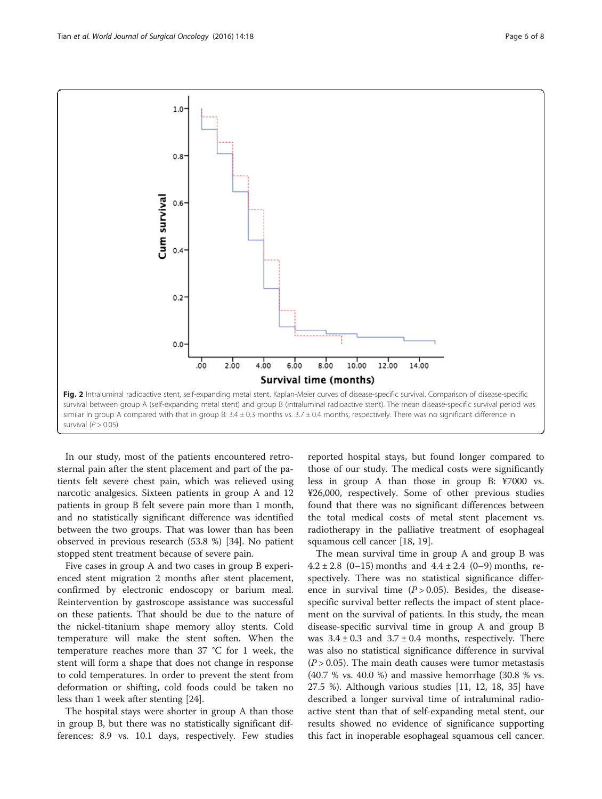<span id="page-5-0"></span>

In our study, most of the patients encountered retrosternal pain after the stent placement and part of the patients felt severe chest pain, which was relieved using narcotic analgesics. Sixteen patients in group A and 12 patients in group B felt severe pain more than 1 month, and no statistically significant difference was identified between the two groups. That was lower than has been observed in previous research (53.8 %) [[34](#page-7-0)]. No patient stopped stent treatment because of severe pain.

Five cases in group A and two cases in group B experienced stent migration 2 months after stent placement, confirmed by electronic endoscopy or barium meal. Reintervention by gastroscope assistance was successful on these patients. That should be due to the nature of the nickel-titanium shape memory alloy stents. Cold temperature will make the stent soften. When the temperature reaches more than 37 °C for 1 week, the stent will form a shape that does not change in response to cold temperatures. In order to prevent the stent from deformation or shifting, cold foods could be taken no less than 1 week after stenting [[24\]](#page-7-0).

The hospital stays were shorter in group A than those in group B, but there was no statistically significant differences: 8.9 vs. 10.1 days, respectively. Few studies

reported hospital stays, but found longer compared to those of our study. The medical costs were significantly less in group A than those in group B: ¥7000 vs. ¥26,000, respectively. Some of other previous studies found that there was no significant differences between the total medical costs of metal stent placement vs. radiotherapy in the palliative treatment of esophageal squamous cell cancer [\[18](#page-6-0), [19](#page-7-0)].

The mean survival time in group A and group B was  $4.2 \pm 2.8$  (0-15) months and  $4.4 \pm 2.4$  (0-9) months, respectively. There was no statistical significance difference in survival time  $(P > 0.05)$ . Besides, the diseasespecific survival better reflects the impact of stent placement on the survival of patients. In this study, the mean disease-specific survival time in group A and group B was  $3.4 \pm 0.3$  and  $3.7 \pm 0.4$  months, respectively. There was also no statistical significance difference in survival  $(P > 0.05)$ . The main death causes were tumor metastasis (40.7 % vs. 40.0 %) and massive hemorrhage (30.8 % vs. 27.5 %). Although various studies [\[11, 12](#page-6-0), [18](#page-6-0), [35\]](#page-7-0) have described a longer survival time of intraluminal radioactive stent than that of self-expanding metal stent, our results showed no evidence of significance supporting this fact in inoperable esophageal squamous cell cancer.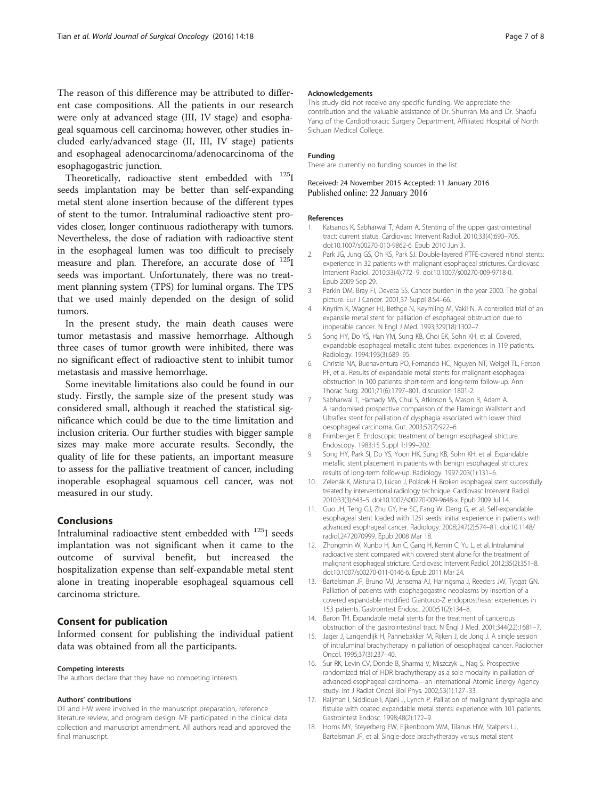<span id="page-6-0"></span>The reason of this difference may be attributed to different case compositions. All the patients in our research were only at advanced stage (III, IV stage) and esophageal squamous cell carcinoma; however, other studies included early/advanced stage (II, III, IV stage) patients and esophageal adenocarcinoma/adenocarcinoma of the esophagogastric junction.

Theoretically, radioactive stent embedded with <sup>125</sup>I seeds implantation may be better than self-expanding metal stent alone insertion because of the different types of stent to the tumor. Intraluminal radioactive stent provides closer, longer continuous radiotherapy with tumors. Nevertheless, the dose of radiation with radioactive stent in the esophageal lumen was too difficult to precisely measure and plan. Therefore, an accurate dose of <sup>125</sup>I seeds was important. Unfortunately, there was no treatment planning system (TPS) for luminal organs. The TPS that we used mainly depended on the design of solid tumors.

In the present study, the main death causes were tumor metastasis and massive hemorrhage. Although three cases of tumor growth were inhibited, there was no significant effect of radioactive stent to inhibit tumor metastasis and massive hemorrhage.

Some inevitable limitations also could be found in our study. Firstly, the sample size of the present study was considered small, although it reached the statistical significance which could be due to the time limitation and inclusion criteria. Our further studies with bigger sample sizes may make more accurate results. Secondly, the quality of life for these patients, an important measure to assess for the palliative treatment of cancer, including inoperable esophageal squamous cell cancer, was not measured in our study.

## Conclusions

Intraluminal radioactive stent embedded with 125I seeds implantation was not significant when it came to the outcome of survival benefit, but increased the hospitalization expense than self-expandable metal stent alone in treating inoperable esophageal squamous cell carcinoma stricture.

## Consent for publication

Informed consent for publishing the individual patient data was obtained from all the participants.

#### Competing interests

The authors declare that they have no competing interests.

#### Authors' contributions

DT and HW were involved in the manuscript preparation, reference literature review, and program design. MF participated in the clinical data collection and manuscript amendment. All authors read and approved the final manuscript.

#### Acknowledgements

This study did not receive any specific funding. We appreciate the contribution and the valuable assistance of Dr. Shunran Ma and Dr. Shaofu Yang of the Cardiothoracic Surgery Department, Affiliated Hospital of North Sichuan Medical College.

#### Funding

There are currently no funding sources in the list.

#### Received: 24 November 2015 Accepted: 11 January 2016 Published online: 22 January 2016

#### References

- 1. Katsanos K, Sabharwal T, Adam A. Stenting of the upper gastrointestinal tract: current status. Cardiovasc Intervent Radiol. 2010;33(4):690–705. doi[:10.1007/s00270-010-9862-6](http://dx.doi.org/10.1007/s00270-010-9862-6). Epub 2010 Jun 3.
- 2. Park JG, Jung GS, Oh KS, Park SJ. Double-layered PTFE-covered nitinol stents: experience in 32 patients with malignant esophageal strictures. Cardiovasc Intervent Radiol. 2010;33(4):772–9. doi:[10.1007/s00270-009-9718-0](http://dx.doi.org/10.1007/s00270-009-9718-0). Epub 2009 Sep 29.
- 3. Parkin DM, Bray FI, Devesa SS. Cancer burden in the year 2000. The global picture. Eur J Cancer. 2001;37 Suppl 8:S4–66.
- 4. Knyrim K, Wagner HJ, Bethge N, Keymling M, Vakil N. A controlled trial of an expansile metal stent for palliation of esophageal obstruction due to inoperable cancer. N Engl J Med. 1993;329(18):1302–7.
- 5. Song HY, Do YS, Han YM, Sung KB, Choi EK, Sohn KH, et al. Covered, expandable esophageal metallic stent tubes: experiences in 119 patients. Radiology. 1994;193(3):689–95.
- 6. Christie NA, Buenaventura PO, Fernando HC, Nguyen NT, Weigel TL, Ferson PF, et al. Results of expandable metal stents for malignant esophageal obstruction in 100 patients: short-term and long-term follow-up. Ann Thorac Surg. 2001;71(6):1797–801. discussion 1801-2.
- 7. Sabharwal T, Hamady MS, Chui S, Atkinson S, Mason R, Adam A. A randomised prospective comparison of the Flamingo Wallstent and Ultraflex stent for palliation of dysphagia associated with lower third oesophageal carcinoma. Gut. 2003;52(7):922–6.
- 8. Frimberger E. Endoscopic treatment of benign esophageal stricture. Endoscopy. 1983;15 Suppl 1:199–202.
- 9. Song HY, Park SI, Do YS, Yoon HK, Sung KB, Sohn KH, et al. Expandable metallic stent placement in patients with benign esophageal strictures: results of long-term follow-up. Radiology. 1997;203(1):131–6.
- 10. Zelenák K, Mistuna D, Lúcan J, Polácek H. Broken esophageal stent successfully treated by interventional radiology technique. Cardiovasc Intervent Radiol. 2010;33(3):643–5. doi[:10.1007/s00270-009-9648-x](http://dx.doi.org/10.1007/s00270-009-9648-x). Epub 2009 Jul 14.
- 11. Guo JH, Teng GJ, Zhu GY, He SC, Fang W, Deng G, et al. Self-expandable esophageal stent loaded with 125I seeds: initial experience in patients with advanced esophageal cancer. Radiology. 2008;247(2):574–81. doi[:10.1148/](http://dx.doi.org/10.1148/radiol.2472070999) [radiol.2472070999.](http://dx.doi.org/10.1148/radiol.2472070999) Epub 2008 Mar 18.
- 12. Zhongmin W, Xunbo H, Jun C, Gang H, Kemin C, Yu L, et al. Intraluminal radioactive stent compared with covered stent alone for the treatment of malignant esophageal stricture. Cardiovasc Intervent Radiol. 2012;35(2):351–8. doi:[10.1007/s00270-011-0146-6.](http://dx.doi.org/10.1007/s00270-011-0146-6) Epub 2011 Mar 24.
- 13. Bartelsman JF, Bruno MJ, Jensema AJ, Haringsma J, Reeders JW, Tytgat GN. Palliation of patients with esophagogastric neoplasms by insertion of a covered expandable modified Gianturco-Z endoprosthesis: experiences in 153 patients. Gastrointest Endosc. 2000;51(2):134–8.
- 14. Baron TH. Expandable metal stents for the treatment of cancerous obstruction of the gastrointestinal tract. N Engl J Med. 2001;344(22):1681–7.
- 15. Jager J, Langendijk H, Pannebakker M, Rijken J, de Jong J. A single session of intraluminal brachytherapy in palliation of oesophageal cancer. Radiother Oncol. 1995;37(3):237–40.
- 16. Sur RK, Levin CV, Donde B, Sharma V, Miszczyk L, Nag S. Prospective randomized trial of HDR brachytherapy as a sole modality in palliation of advanced esophageal carcinoma—an International Atomic Energy Agency study. Int J Radiat Oncol Biol Phys. 2002;53(1):127–33.
- 17. Raijman I, Siddique I, Ajani J, Lynch P. Palliation of malignant dysphagia and fistulae with coated expandable metal stents: experience with 101 patients. Gastrointest Endosc. 1998;48(2):172–9.
- 18. Homs MY, Steyerberg EW, Eijkenboom WM, Tilanus HW, Stalpers LJ, Bartelsman JF, et al. Single-dose brachytherapy versus metal stent